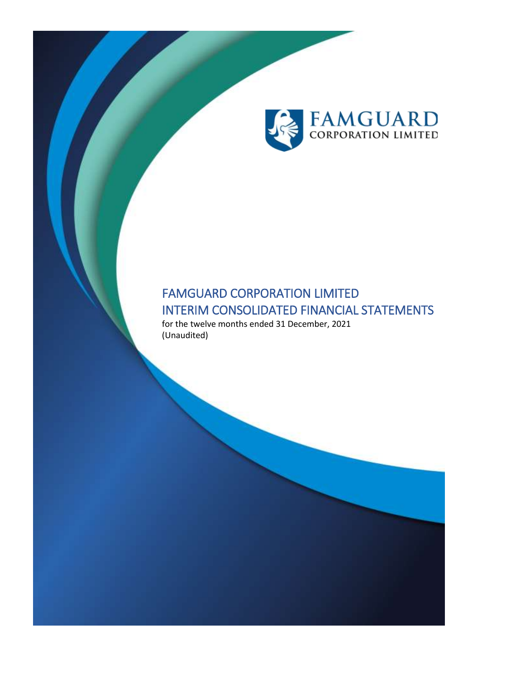

# FAMGUARD CORPORATION LIMITED INTERIM CONSOLIDATED FINANCIAL STATEMENTS

for the twelve months ended 31 December, 2021 (Unaudited)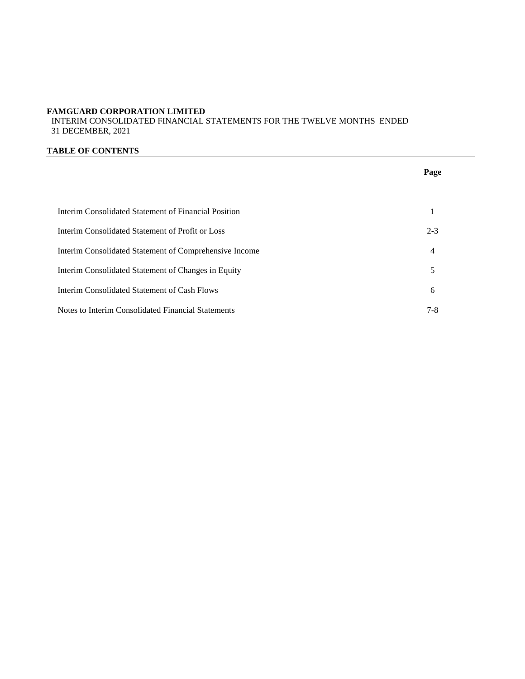INTERIM CONSOLIDATED FINANCIAL STATEMENTS FOR THE TWELVE MONTHS ENDED 31 DECEMBER, 2021

#### **TABLE OF CONTENTS**

|                                                        | Page    |
|--------------------------------------------------------|---------|
|                                                        |         |
| Interim Consolidated Statement of Financial Position   | 1       |
| Interim Consolidated Statement of Profit or Loss       | $2 - 3$ |
| Interim Consolidated Statement of Comprehensive Income | 4       |
| Interim Consolidated Statement of Changes in Equity    | 5       |
| Interim Consolidated Statement of Cash Flows           | 6       |
| Notes to Interim Consolidated Financial Statements     | $7 - 8$ |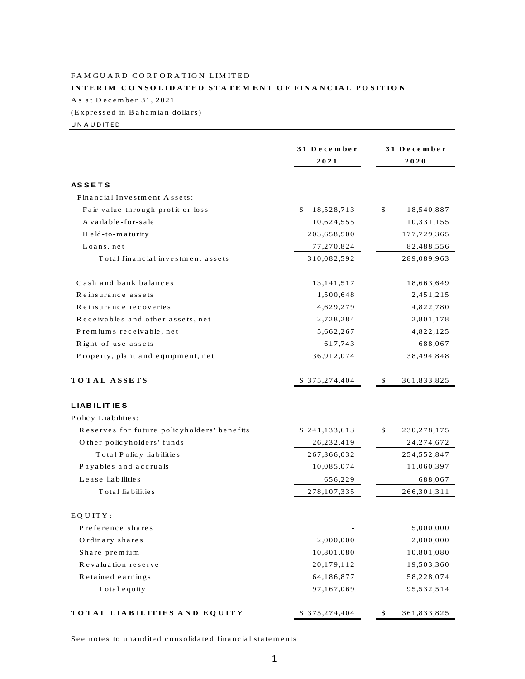### FAMGUARD CORPORATION LIMITED INTERIM CONSOLIDATED STATEMENT OF FINANCIAL POSITION As at December 31, 2021

(Expressed in Bahamian dollars)

UNAUDITED

|                                             | 31 December      | 31 December |               |
|---------------------------------------------|------------------|-------------|---------------|
|                                             | 2021             | 2020        |               |
|                                             |                  |             |               |
| <b>ASSETS</b>                               |                  |             |               |
| Financial Investment Assets:                |                  |             |               |
| Fair value through profit or loss           | 18,528,713<br>\$ | \$          | 18,540,887    |
| A vailable-for-sale                         | 10,624,555       |             | 10,331,155    |
| Held-to-maturity                            | 203,658,500      |             | 177,729,365   |
| Loans, net                                  | 77,270,824       |             | 82,488,556    |
| Total financial investment assets           | 310,082,592      |             | 289,089,963   |
| Cash and bank balances                      | 13, 141, 517     |             | 18,663,649    |
| Reinsurance assets                          | 1,500,648        |             | 2,451,215     |
| Reinsurance recoveries                      | 4,629,279        |             | 4,822,780     |
| Receivables and other assets, net           | 2,728,284        |             | 2,801,178     |
| Premiums receivable, net                    | 5,662,267        |             | 4,822,125     |
| Right-of-use assets                         | 617,743          |             | 688,067       |
| Property, plant and equipment, net          | 36,912,074       |             | 38,494,848    |
| TOTAL ASSETS                                | \$ 375,274,404   | S           | 361,833,825   |
| <b>LIABILITIES</b>                          |                  |             |               |
| Policy Liabilities:                         |                  |             |               |
| Reserves for future policyholders' benefits | \$241,133,613    | \$          | 230, 278, 175 |
| O ther policyholders' funds                 | 26, 232, 419     |             | 24, 274, 672  |
| Total Policy liabilities                    | 267,366,032      |             | 254,552,847   |
| Payables and accruals                       | 10,085,074       |             | 11,060,397    |
| Lease liabilities                           | 656,229          |             | 688,067       |
| Total liabilities                           | 278, 107, 335    |             | 266,301,311   |
| EQUITY:                                     |                  |             |               |
| Preference shares                           |                  |             | 5,000,000     |
| Ordinary shares                             | 2,000,000        |             | 2,000,000     |
| Share premium                               | 10,801,080       |             | 10,801,080    |
| Revaluation reserve                         | 20,179,112       |             | 19,503,360    |
| Retained earnings                           | 64,186,877       |             | 58,228,074    |
| Total equity                                | 97,167,069       |             | 95,532,514    |
|                                             |                  |             |               |
| TOTAL LIABILITIES AND EQUITY                | \$375,274,404    | \$          | 361,833,825   |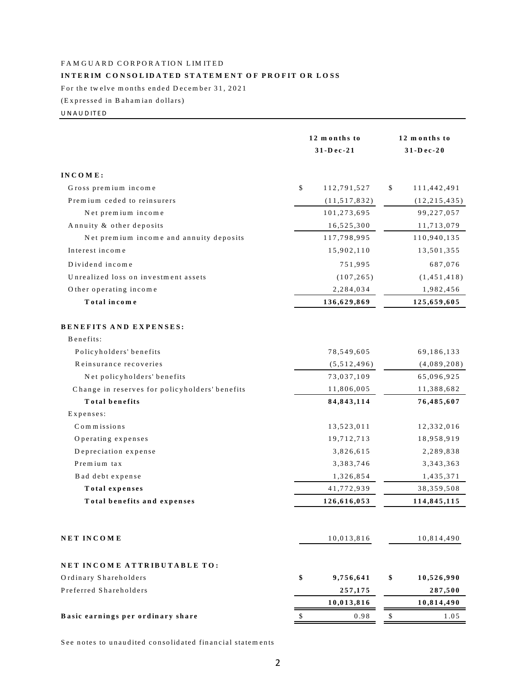#### INTERIM CONSOLIDATED STATEMENT OF PROFIT OR LOSS

For the twelve months ended December 31, 2021

(Expressed in Bahamian dollars)

UNAUDITED

|                                                | 12 months to<br>31-Dec-21 | 12 months to<br>31-Dec-20 |  |
|------------------------------------------------|---------------------------|---------------------------|--|
| INCOME:                                        |                           |                           |  |
| Gross premium income                           | \$<br>112,791,527         | \$<br>111,442,491         |  |
| Premium ceded to reinsurers                    | (11, 517, 832)            | (12, 215, 435)            |  |
| Net premium income                             | 101,273,695               | 99,227,057                |  |
| Annuity & other deposits                       | 16,525,300                | 11,713,079                |  |
| Net premium income and annuity deposits        | 117,798,995               | 110,940,135               |  |
| Interest income                                | 15,902,110                | 13,501,355                |  |
| Dividend income                                | 751,995                   | 687,076                   |  |
| Unrealized loss on investment assets           | (107, 265)                | (1, 451, 418)             |  |
| Other operating income                         | 2,284,034                 | 1,982,456                 |  |
| Total income                                   | 136,629,869               | 125,659,605               |  |
| <b>BENEFITS AND EXPENSES:</b>                  |                           |                           |  |
| Benefits:                                      |                           |                           |  |
| Policyholders' benefits                        | 78,549,605                | 69,186,133                |  |
| Reinsurance recoveries                         | (5, 512, 496)             | (4,089,208)               |  |
| Net policyholders' benefits                    | 73,037,109                | 65,096,925                |  |
| Change in reserves for policyholders' benefits | 11,806,005                | 11,388,682                |  |
| <b>Total benefits</b>                          | 84,843,114                | 76,485,607                |  |
| Expenses:                                      |                           |                           |  |
| Commissions                                    | 13,523,011                | 12,332,016                |  |
| Operating expenses                             | 19,712,713                | 18,958,919                |  |
| Depreciation expense                           | 3,826,615                 | 2,289,838                 |  |
| Premium tax                                    | 3,383,746                 | 3, 343, 363               |  |
| Bad debt expense                               | 1,326,854                 | 1,435,371                 |  |
| Total expenses                                 | 41,772,939                | 38, 359, 508              |  |
| Total benefits and expenses                    | 126,616,053               | 114,845,115               |  |
| <b>NET INCOME</b>                              | 10,013,816                | 10,814,490                |  |
| NET INCOME ATTRIBUTABLE TO:                    |                           |                           |  |
| Ordinary Shareholders                          | \$<br>9,756,641           | \$<br>10,526,990          |  |
| Preferred Shareholders                         | 257,175                   | 287,500                   |  |
|                                                | 10,013,816                | 10,814,490                |  |
| Basic earnings per ordinary share              | \$<br>0.98                | \$<br>1.05                |  |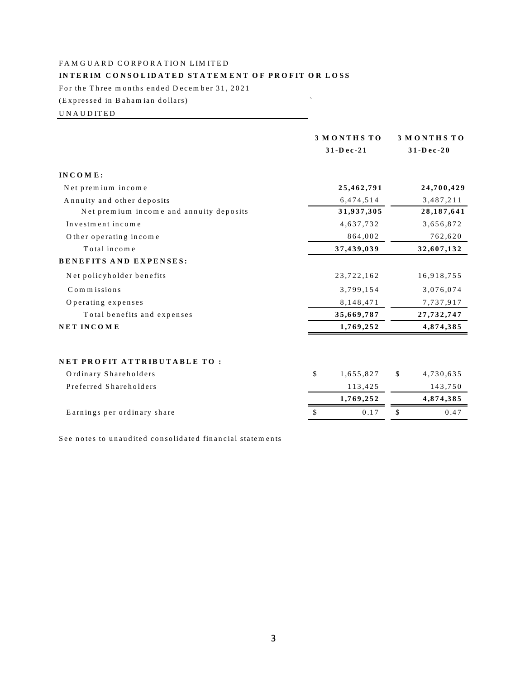# **IN THE R IM CORPORATION LIMITED<br>INTERIM CONSOLIDATED STATEMENT OF PROFIT OR LOSS** FAMGUARD CORPORATION LIMITED<br>INTERIM CONSOLIDATED STATEMENT<br>For the Three months ended December 31, 2021 FAM GOARD CORFORATION LIMITED<br>INTERIM CONSOLIDATED STATEMENT OF PROFIT C<br>For the Three months ended December 31, 2021<br>(Expressed in Bahamian dollars)

For the Three months ended December 31, 2021<br>(Expressed in Bahamian dollars)<br>UNAUDITED

|                 |                          | 3 MONTHS TO     |
|-----------------|--------------------------|-----------------|
|                 |                          | $31 - Dec - 20$ |
|                 |                          |                 |
| 25,462,791      |                          | 24,700,429      |
| 6,474,514       |                          | 3,487,211       |
| 31,937,305      |                          | 28, 187, 641    |
| 4,637,732       |                          | 3,656,872       |
| 864,002         |                          | 762,620         |
| 37,439,039      |                          | 32,607,132      |
|                 |                          |                 |
| 23,722,162      |                          | 16,918,755      |
| 3,799,154       |                          | 3,076,074       |
| 8,148,471       |                          | 7,737,917       |
| 35,669,787      |                          | 27, 732, 747    |
| 1,769,252       |                          | 4,874,385       |
|                 |                          |                 |
| \$<br>1,655,827 | \$                       | 4,730,635       |
| 113,425         |                          | 143,750         |
| 1,769,252       |                          | 4,874,385       |
| 0.17            | \$                       | 0.47            |
|                 | 3 MONTHS TO<br>31-Dec-21 |                 |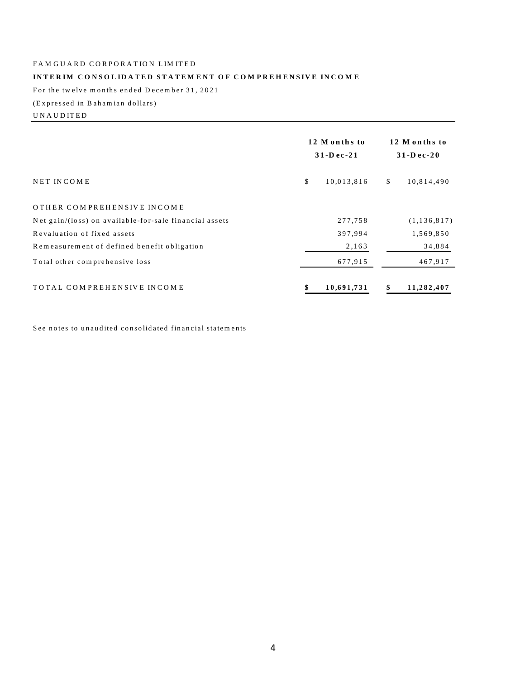# FAM GUARD CORPORATION LIMITED FAMGUARD CORPORATION LIMITED<br>INTERIM CONSOLIDATED STATEMENT<br>For the twelve months ended December 31, 2021

# **INTERIM CONSOLIDATED STATEMENT OF COMPREHENSIVE INCOME** INTERIM CONSOLIDATED<br>For the twelve months ended Dec<br>(Expressed in Bahamian dollars)

For the twelve<br>For the twelve<br>(Expressed in<br>U N A U D ITED

| (Expressed in Bahamian dollars)                        |                                 |                                |
|--------------------------------------------------------|---------------------------------|--------------------------------|
| UNAUDITED                                              |                                 |                                |
|                                                        | 12 Months to<br>$31 - Dec - 21$ | 12 Months to<br>$31 - D$ ec-20 |
| NET INCOME                                             | \$<br>10,013,816                | \$<br>10,814,490               |
| OTHER COMPREHENSIVE INCOME                             |                                 |                                |
| Net gain/(loss) on available-for-sale financial assets | 277,758                         | (1, 136, 817)                  |
| Revaluation of fixed assets                            | 397,994                         | 1,569,850                      |
| Remeasurement of defined benefit obligation            | 2,163                           | 34,884                         |
| Total other comprehensive loss                         | 677,915                         | 467,917                        |
| TOTAL COMPREHENSIVE INCOME                             | 10,691,731                      | 11,282,407<br>\$               |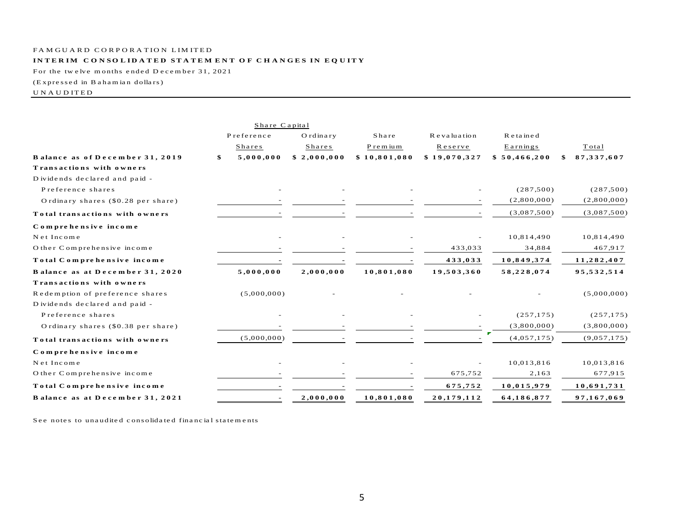#### INTERIM CONSOLIDATED STATEMENT OF CHANGES IN EQUITY

For the twelve months ended December 31, 2021

(Expressed in Bahamian dollars)

#### $\,$  U N A U D ITED

|                                    | Share Capital   |             |              |              |              |              |
|------------------------------------|-----------------|-------------|--------------|--------------|--------------|--------------|
|                                    | Preference      | Ordinary    | Share        | Revaluation  | Retained     |              |
|                                    | Shares          | Shares      | Premium      | Reserve      | Earnings     | Total        |
| Balance as of December 31, 2019    | \$<br>5,000,000 | \$2,000,000 | \$10,801,080 | \$19,070,327 | \$50,466,200 | 87, 337, 607 |
| Transactions with owners           |                 |             |              |              |              |              |
| Dividends declared and paid -      |                 |             |              |              |              |              |
| Preference shares                  |                 |             |              |              | (287,500)    | (287,500)    |
| Ordinary shares (\$0.28 per share) |                 |             |              |              | (2,800,000)  | (2,800,000)  |
| Total transactions with owners     |                 |             |              |              | (3,087,500)  | (3,087,500)  |
| Comprehensive income               |                 |             |              |              |              |              |
| Net Income                         |                 |             |              |              | 10,814,490   | 10,814,490   |
| O ther Comprehensive income        |                 |             |              | 433,033      | 34,884       | 467,917      |
| Total Comprehensive income         |                 |             |              | 433,033      | 10,849,374   | 11,282,407   |
| Balance as at December 31, 2020    | 5,000,000       | 2,000,000   | 10,801,080   | 19,503,360   | 58,228,074   | 95,532,514   |
| Transactions with owners           |                 |             |              |              |              |              |
| Redemption of preference shares    | (5,000,000)     |             |              |              |              | (5,000,000)  |
| Dividends declared and paid -      |                 |             |              |              |              |              |
| Preference shares                  |                 |             |              |              | (257, 175)   | (257, 175)   |
| Ordinary shares (\$0.38 per share) |                 |             |              |              | (3,800,000)  | (3,800,000)  |
| Total transactions with owners     | (5,000,000)     |             |              |              | (4,057,175)  | (9,057,175)  |
| Comprehensive income               |                 |             |              |              |              |              |
| Net Income                         |                 |             |              |              | 10,013,816   | 10,013,816   |
| O ther Comprehensive income        |                 |             |              | 675,752      | 2,163        | 677,915      |
| Total Comprehensive income         |                 |             |              | 675,752      | 10,015,979   | 10,691,731   |
| Balance as at December 31, 2021    |                 | 2,000,000   | 10,801,080   | 20,179,112   | 64,186,877   | 97,167,069   |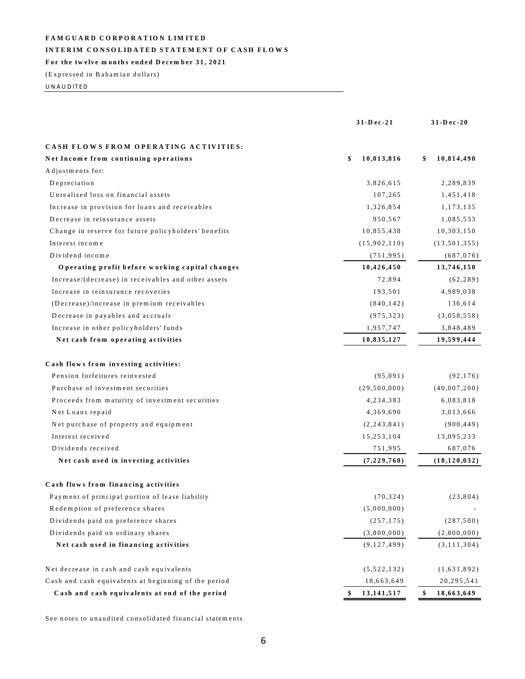#### INTERIM CONSOLIDATED STATEMENT OF CASH FLOWS

#### For the twelve months ended December 31, 2021

(Expressed in Bahamian dollars)

UNAUDITED

|                                                      | 31-Dec-21         | 31-Dec-20        |
|------------------------------------------------------|-------------------|------------------|
| CASH FLOWS FROM OPERATING ACTIVITIES:                |                   |                  |
| Net Income from continuing operations                | 10,013,816<br>\$  | 10,814,490<br>\$ |
| Adjustments for:                                     |                   |                  |
| Depreciation                                         | 3,826,615         | 2,289,839        |
| Unrealized loss on financial assets                  | 107,265           | 1,451,418        |
| Increase in provision for loans and receivables      | 1,326,854         | 1,173,135        |
| Decrease in reinsurance assets                       | 950,567           | 1,085,533        |
| Change in reserve for future policyholders' benefits | 10,855,438        | 10,303,150       |
| Interest income                                      | (15,902,110)      | (13, 501, 355)   |
| Dividend income                                      | (751, 995)        | (687, 076)       |
| Operating profit before working capital changes      | 10,426,450        | 13,746,150       |
| Increase/(decrease) in receivables and other assets  | 72,894            | (62, 289)        |
| Increase in reinsurance recoveries                   | 193,501           | 4,989,038        |
| (Decrease)/increase in premium receivables           | (840, 142)        | 136,614          |
| Decrease in payables and accruals                    | (975, 323)        | (3,058,558)      |
| Increase in other policyholders' funds               | 1,957,747         | 3,848,489        |
| Net cash from operating activities                   | 10,835,127        | 19,599,444       |
| Cash flows from investing activities:                |                   |                  |
| Pension forfeitures reinvested                       | (95, 091)         | (92, 176)        |
| Purchase of investment securities                    | (29, 500, 000)    | (40,007,200)     |
| Proceeds from maturity of investment securities      | 4, 234, 383       | 6,083,818        |
| Net Loans repaid                                     | 4,369,690         | 3,013,666        |
| Net purchase of property and equipment               | (2, 243, 841)     | (900, 449)       |
| Interest received                                    | 15,253,104        | 13,095,233       |
| Dividends received                                   | 751,995           | 687,076          |
| Net cash used in investing activities                | (7,229,760)       | (18, 120, 032)   |
| Cash flows from financing activities                 |                   |                  |
| Payment of principal portion of lease liability      | (70, 324)         | (23, 804)        |
| Redemption of preference shares                      | (5,000,000)       |                  |
| Dividends paid on preference shares                  | (257, 175)        | (287,500)        |
| Dividends paid on ordinary shares                    | (3,800,000)       | (2,800,000)      |
| Net cash used in financing activities                | (9,127,499)       | (3, 111, 304)    |
| Net decrease in cash and cash equivalents            | (5,522,132)       | (1,631,892)      |
| Cash and cash equivalents at beginning of the period | 18,663,649        | 20, 295, 541     |
| Cash and cash equivalents at end of the period       | 13, 141, 517<br>S | \$<br>18,663,649 |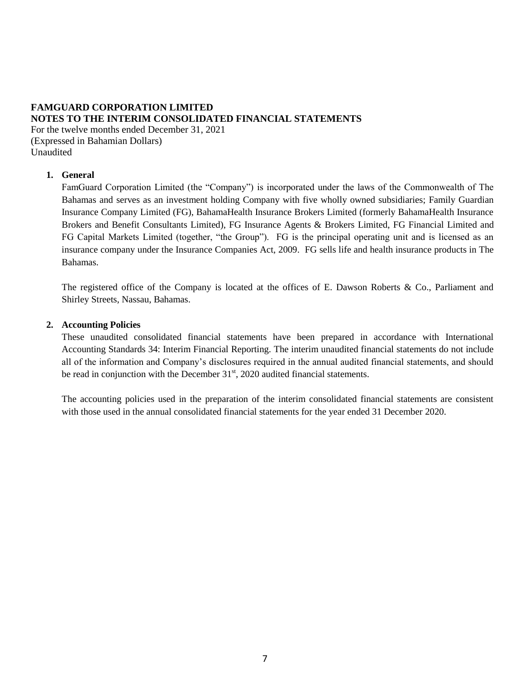# **FAMGUARD CORPORATION LIMITED NOTES TO THE INTERIM CONSOLIDATED FINANCIAL STATEMENTS**

For the twelve months ended December 31, 2021 (Expressed in Bahamian Dollars) Unaudited

### **1. General**

FamGuard Corporation Limited (the "Company") is incorporated under the laws of the Commonwealth of The Bahamas and serves as an investment holding Company with five wholly owned subsidiaries; Family Guardian Insurance Company Limited (FG), BahamaHealth Insurance Brokers Limited (formerly BahamaHealth Insurance Brokers and Benefit Consultants Limited), FG Insurance Agents & Brokers Limited, FG Financial Limited and FG Capital Markets Limited (together, "the Group"). FG is the principal operating unit and is licensed as an insurance company under the Insurance Companies Act, 2009. FG sells life and health insurance products in The Bahamas.

The registered office of the Company is located at the offices of E. Dawson Roberts & Co., Parliament and Shirley Streets, Nassau, Bahamas.

#### **2. Accounting Policies**

These unaudited consolidated financial statements have been prepared in accordance with International Accounting Standards 34: Interim Financial Reporting. The interim unaudited financial statements do not include all of the information and Company's disclosures required in the annual audited financial statements, and should be read in conjunction with the December  $31<sup>st</sup>$ , 2020 audited financial statements.

The accounting policies used in the preparation of the interim consolidated financial statements are consistent with those used in the annual consolidated financial statements for the year ended 31 December 2020.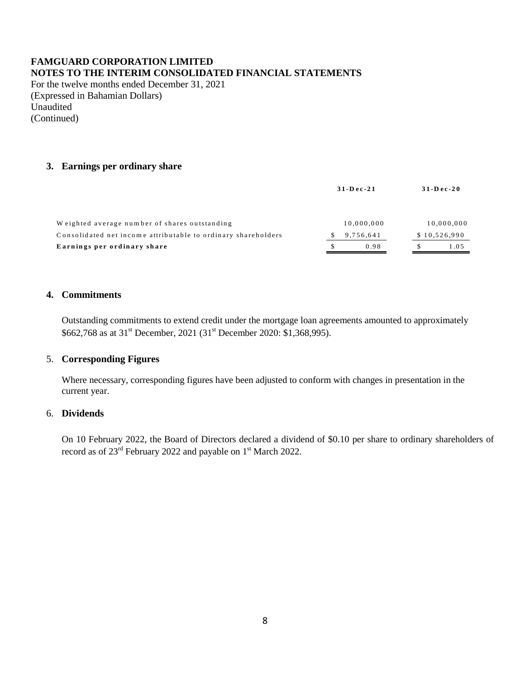# **FAMGUARD CORPORATION LIMITED NOTES TO THE INTERIM CONSOLIDATED FINANCIAL STATEMENTS**

For the twelve months ended December 31, 2021 (Expressed in Bahamian Dollars) Unaudited (Continued)

### **3. Earnings per ordinary share**

| $31 - Dec - 21$ | $31 - Dec - 20$ |
|-----------------|-----------------|
| 10,000,000      | 10,000,000      |
| 9,756,641       | \$10,526,990    |
| 0.98            | \$.<br>1.05     |
|                 |                 |

#### **4. Commitments**

Outstanding commitments to extend credit under the mortgage loan agreements amounted to approximately \$662,768 as at 31<sup>st</sup> December, 2021 (31<sup>st</sup> December 2020: \$1,368,995).

### 5. **Corresponding Figures**

Where necessary, corresponding figures have been adjusted to conform with changes in presentation in the current year.

### 6. **Dividends**

On 10 February 2022, the Board of Directors declared a dividend of \$0.10 per share to ordinary shareholders of record as of  $23^{\text{rd}}$  February 2022 and payable on  $1^{\text{st}}$  March 2022.